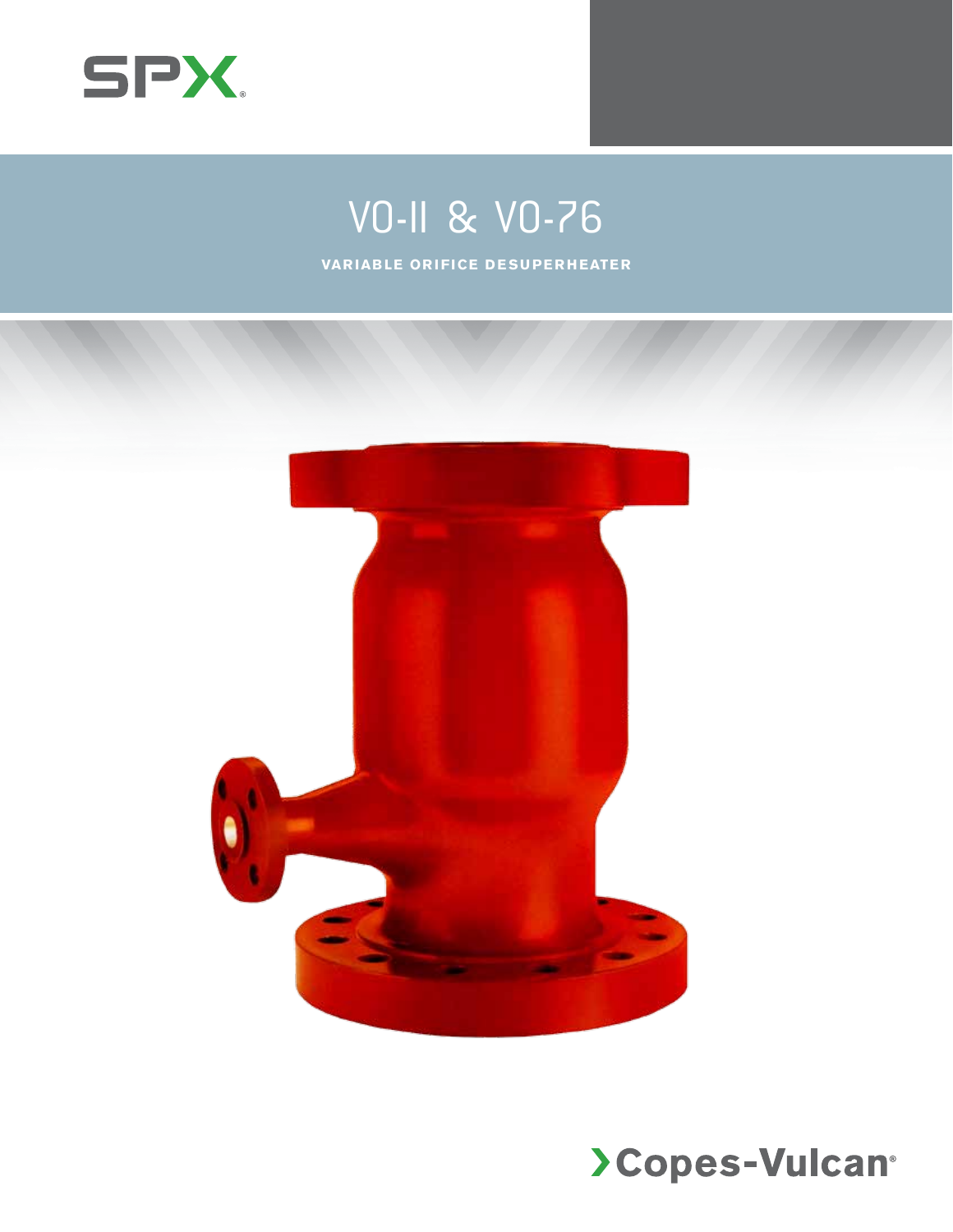

## VO-ll & VO-76

**VARIABLE ORIFICE DESUPERHEATER**



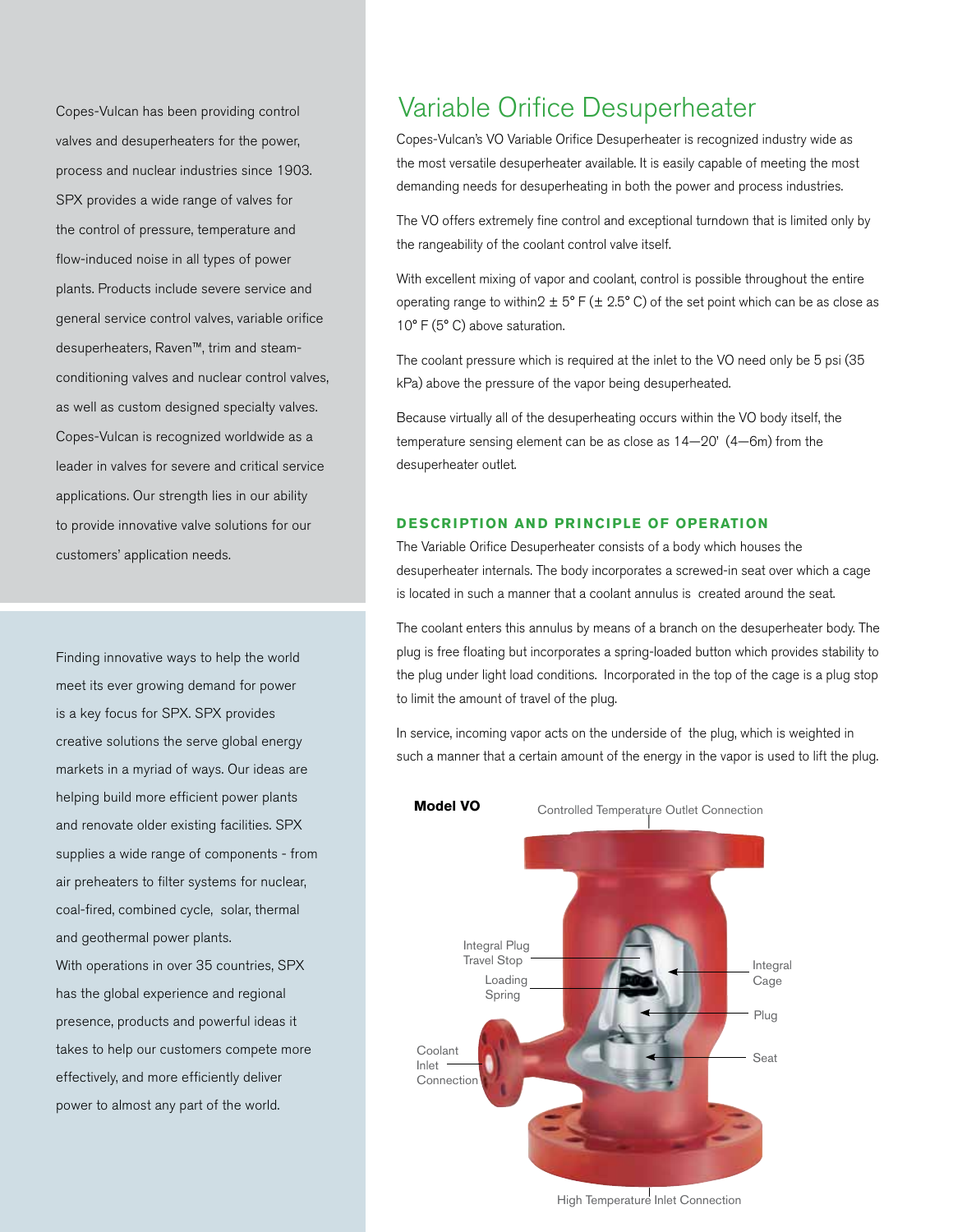Copes-Vulcan has been providing control valves and desuperheaters for the power, process and nuclear industries since 1903. SPX provides a wide range of valves for the control of pressure, temperature and flow-induced noise in all types of power plants. Products include severe service and general service control valves, variable orifice desuperheaters, Raven™, trim and steamconditioning valves and nuclear control valves, as well as custom designed specialty valves. Copes-Vulcan is recognized worldwide as a leader in valves for severe and critical service applications. Our strength lies in our ability to provide innovative valve solutions for our customers' application needs.

Finding innovative ways to help the world meet its ever growing demand for power is a key focus for SPX. SPX provides creative solutions the serve global energy markets in a myriad of ways. Our ideas are helping build more efficient power plants and renovate older existing facilities. SPX supplies a wide range of components - from air preheaters to filter systems for nuclear, coal-fired, combined cycle, solar, thermal and geothermal power plants.

With operations in over 35 countries, SPX has the global experience and regional presence, products and powerful ideas it takes to help our customers compete more effectively, and more efficiently deliver power to almost any part of the world.

## Variable Orifice Desuperheater

Copes-Vulcan's VO Variable Orifice Desuperheater is recognized industry wide as the most versatile desuperheater available. It is easily capable of meeting the most demanding needs for desuperheating in both the power and process industries.

The VO offers extremely fine control and exceptional turndown that is limited only by the rangeability of the coolant control valve itself.

With excellent mixing of vapor and coolant, control is possible throughout the entire operating range to within2  $\pm$  5° F ( $\pm$  2.5° C) of the set point which can be as close as 10° F (5° C) above saturation.

The coolant pressure which is required at the inlet to the VO need only be 5 psi (35 kPa) above the pressure of the vapor being desuperheated.

Because virtually all of the desuperheating occurs within the VO body itself, the temperature sensing element can be as close as 14—20' (4—6m) from the desuperheater outlet.

## **DESCRIPTION AND PRINCIPLE OF OPERATION**

The Variable Orifice Desuperheater consists of a body which houses the desuperheater internals. The body incorporates a screwed-in seat over which a cage is located in such a manner that a coolant annulus is created around the seat.

The coolant enters this annulus by means of a branch on the desuperheater body. The plug is free floating but incorporates a spring-loaded button which provides stability to the plug under light load conditions. Incorporated in the top of the cage is a plug stop to limit the amount of travel of the plug.

In service, incoming vapor acts on the underside of the plug, which is weighted in such a manner that a certain amount of the energy in the vapor is used to lift the plug.



High Temperature Inlet Connection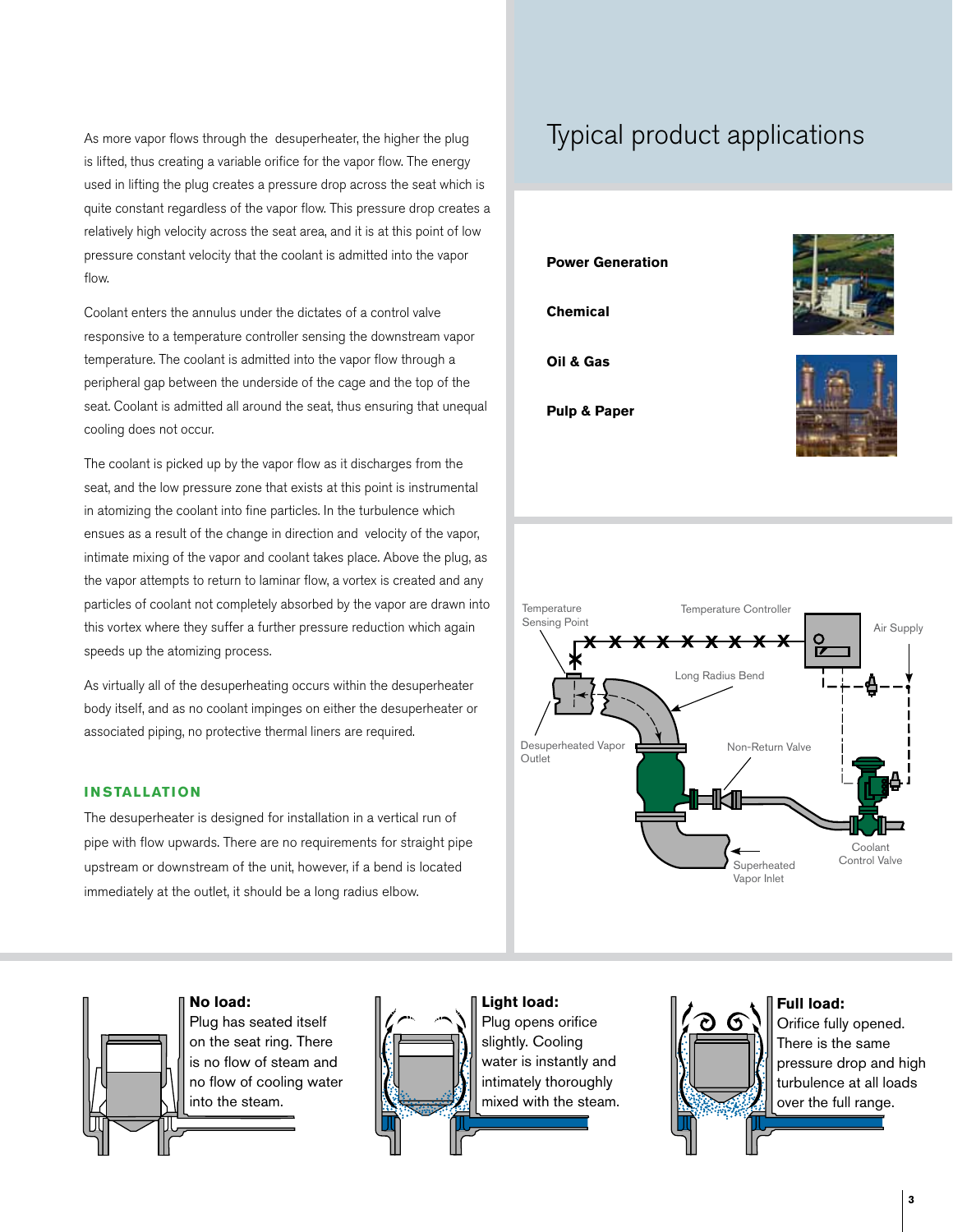As more vapor flows through the desuperheater, the higher the plug is lifted, thus creating a variable orifice for the vapor flow. The energy used in lifting the plug creates a pressure drop across the seat which is quite constant regardless of the vapor flow. This pressure drop creates a relatively high velocity across the seat area, and it is at this point of low pressure constant velocity that the coolant is admitted into the vapor flow.

Coolant enters the annulus under the dictates of a control valve responsive to a temperature controller sensing the downstream vapor temperature. The coolant is admitted into the vapor flow through a peripheral gap between the underside of the cage and the top of the seat. Coolant is admitted all around the seat, thus ensuring that unequal cooling does not occur.

The coolant is picked up by the vapor flow as it discharges from the seat, and the low pressure zone that exists at this point is instrumental in atomizing the coolant into fine particles. In the turbulence which ensues as a result of the change in direction and velocity of the vapor, intimate mixing of the vapor and coolant takes place. Above the plug, as the vapor attempts to return to laminar flow, a vortex is created and any particles of coolant not completely absorbed by the vapor are drawn into this vortex where they suffer a further pressure reduction which again speeds up the atomizing process.

As virtually all of the desuperheating occurs within the desuperheater body itself, and as no coolant impinges on either the desuperheater or associated piping, no protective thermal liners are required.

#### **I N STALLATION**

The desuperheater is designed for installation in a vertical run of pipe with flow upwards. There are no requirements for straight pipe upstream or downstream of the unit, however, if a bend is located immediately at the outlet, it should be a long radius elbow.

## Typical product applications









**Light load:** Plug opens orifice slightly. Cooling water is instantly and intimately thoroughly mixed with the steam.

## ત્રી 6

**Full load:** Orifice fully opened. There is the same pressure drop and high turbulence at all loads over the full range.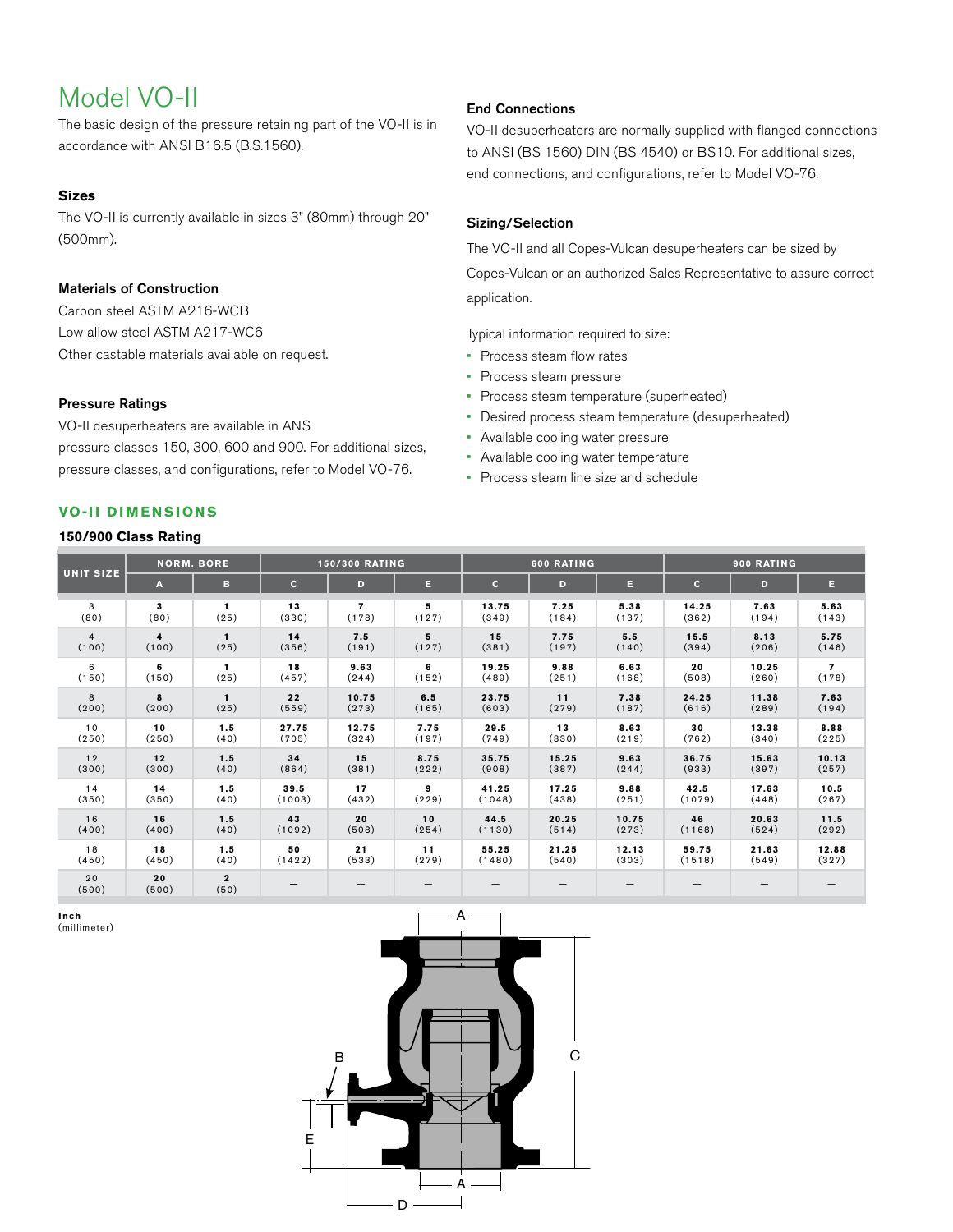## Model VO-II

The basic design of the pressure retaining part of the VO-II is in accordance with ANSI B16.5 (B.S.1560).

#### **Sizes**

The VO-II is currently available in sizes 3" (80mm) through 20" (500mm).

## Materials of Construction

Carbon steel ASTM A216-WCB Low allow steel ASTM A217-WC6 Other castable materials available on request.

## Pressure Ratings

VO-II desuperheaters are available in ANS pressure classes 150, 300, 600 and 900. For additional sizes, pressure classes, and configurations, refer to Model VO-76.

## End Connections

VO-II desuperheaters are normally supplied with flanged connections to ANSI (BS 1560) DIN (BS 4540) or BS10. For additional sizes, end connections, and configurations, refer to Model VO-76.

## Sizing/Selection

The VO-II and all Copes-Vulcan desuperheaters can be sized by Copes-Vulcan or an authorized Sales Representative to assure correct application.

Typical information required to size:

- Process steam flow rates
- • Process steam pressure
- Process steam temperature (superheated)
- • Desired process steam temperature (desuperheated)
- • Available cooling water pressure
- • Available cooling water temperature
- Process steam line size and schedule

## **VO-II D ime n sion s**

## **150/900 Class Rating**

| <b>UNIT SIZE</b> | <b>NORM. BORE</b>       |                        | <b>150/300 RATING</b> |       |       | 600 RATING   |       |       | 900 RATING |       |       |
|------------------|-------------------------|------------------------|-----------------------|-------|-------|--------------|-------|-------|------------|-------|-------|
|                  | A                       | в                      | $\mathbf{C}$          | D     | E.    | $\mathbf{C}$ | D     | Е     | c.         | D     | Е     |
| 3                | 3                       | 1                      | 13                    | 7     | 5     | 13.75        | 7.25  | 5.38  | 14.25      | 7.63  | 5.63  |
| (80)             | (80)                    | (25)                   | (330)                 | (178) | (127) | (349)        | (184) | (137) | (362)      | (194) | (143) |
| $\overline{4}$   | $\overline{\mathbf{4}}$ | $\mathbf{1}$           | 14                    | 7.5   | 5     | 15           | 7.75  | 5.5   | 15.5       | 8.13  | 5.75  |
| (100)            | (100)                   | (25)                   | (356)                 | (191) | (127) | (381)        | (197) | (140) | (394)      | (206) | (146) |
| 6                | 6                       | $\mathbf{1}$           | 18                    | 9.63  | 6     | 19.25        | 9.88  | 6.63  | 20         | 10.25 | 7     |
| (150)            | (150)                   | (25)                   | (457)                 | (244) | (152) | (489)        | (251) | (168) | (508)      | (260) | (178) |
| 8                | 8                       | $\mathbf{1}$           | 22                    | 10.75 | 6.5   | 23.75        | 11    | 7.38  | 24.25      | 11.38 | 7.63  |
| (200)            | (200)                   | (25)                   | (559)                 | (273) | (165) | (603)        | (279) | (187) | (616)      | (289) | (194) |
| 10               | 10                      | 1.5                    | 27.75                 | 12.75 | 7.75  | 29.5         | 13    | 8.63  | 30         | 13.38 | 8.88  |
| (250)            | (250)                   | (40)                   | (705)                 | (324) | (197) | (749)        | (330) | (219) | (762)      | (340) | (225) |
| 12               | 12                      | 1.5                    | 34                    | 15    | 8.75  | 35.75        | 15.25 | 9.63  | 36.75      | 15.63 | 10.13 |
| (300)            | (300)                   | (40)                   | (864)                 | (381) | (222) | (908)        | (387) | (244) | (933)      | (397) | (257) |
| 14               | 14                      | 1.5                    | 39.5                  | 17    | 9     | 41.25        | 17.25 | 9.88  | 42.5       | 17.63 | 10.5  |
| (350)            | (350)                   | (40)                   | (1003)                | (432) | (229) | (1048)       | (438) | (251) | (1079)     | (448) | (267) |
| 16               | 16                      | 1.5                    | 43                    | 20    | 10    | 44.5         | 20.25 | 10.75 | 46         | 20.63 | 11.5  |
| (400)            | (400)                   | (40)                   | (1092)                | (508) | (254) | (1130)       | (514) | (273) | (1168)     | (524) | (292) |
| 18               | 18                      | 1.5                    | 50                    | 21    | 11    | 55.25        | 21.25 | 12.13 | 59.75      | 21.63 | 12.88 |
| (450)            | (450)                   | (40)                   | (1422)                | (533) | (279) | (1480)       | (540) | (303) | (1518)     | (549) | (327) |
| 20<br>(500)      | 20<br>(500)             | $\overline{2}$<br>(50) |                       | —     |       |              |       |       |            |       |       |

**Inch** (millimeter)

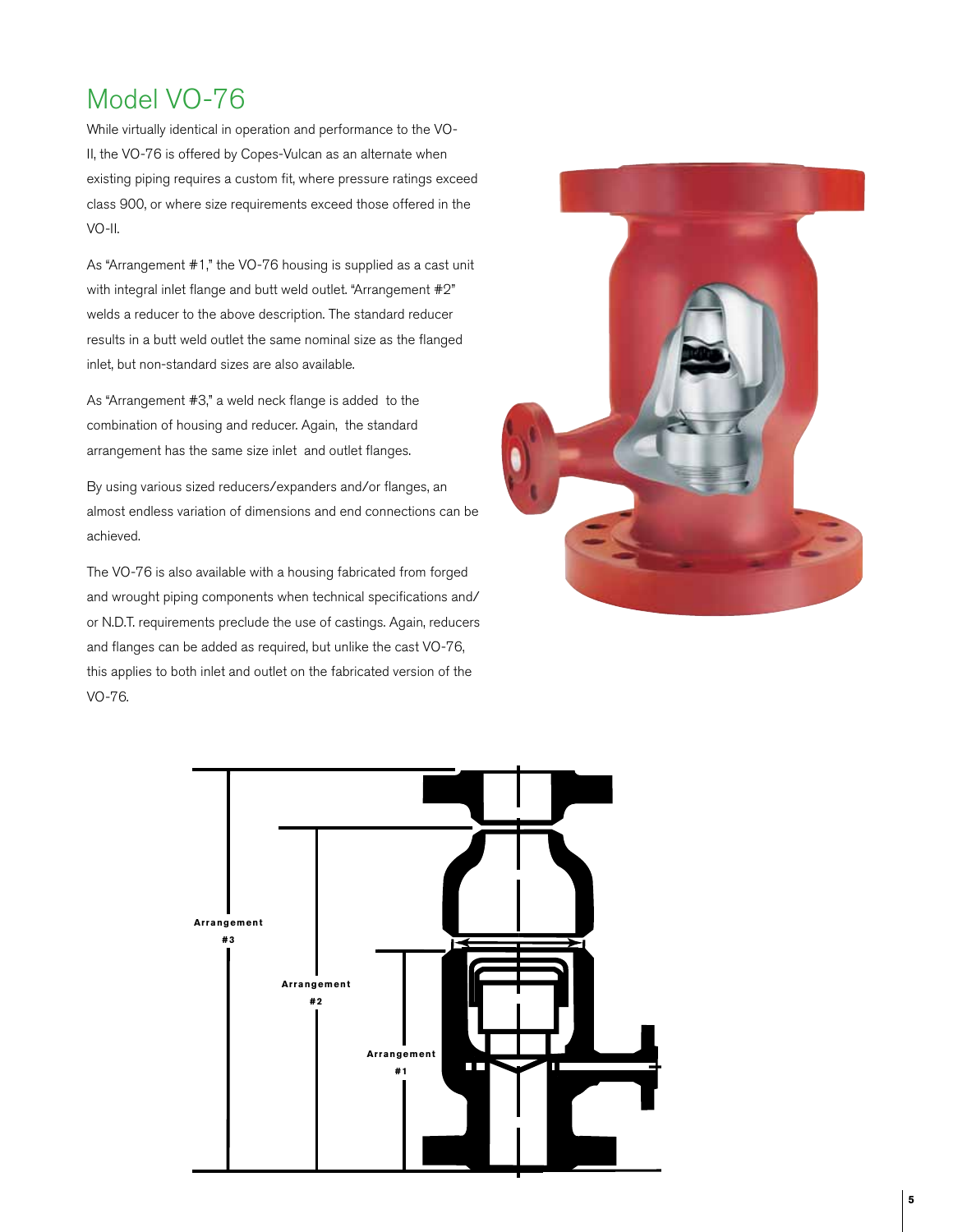## Model VO-76

While virtually identical in operation and performance to the VO-II, the VO-76 is offered by Copes-Vulcan as an alternate when existing piping requires a custom fit, where pressure ratings exceed class 900, or where size requirements exceed those offered in the VO-II.

As "Arrangement #1," the VO-76 housing is supplied as a cast unit with integral inlet flange and butt weld outlet. "Arrangement #2" welds a reducer to the above description. The standard reducer results in a butt weld outlet the same nominal size as the flanged inlet, but non-standard sizes are also available.

As "Arrangement #3," a weld neck flange is added to the combination of housing and reducer. Again, the standard arrangement has the same size inlet and outlet flanges.

By using various sized reducers/expanders and/or flanges, an almost endless variation of dimensions and end connections can be achieved.

The VO-76 is also available with a housing fabricated from forged and wrought piping components when technical specifications and/ or N.D.T. requirements preclude the use of castings. Again, reducers and flanges can be added as required, but unlike the cast VO-76, this applies to both inlet and outlet on the fabricated version of the VO-76.



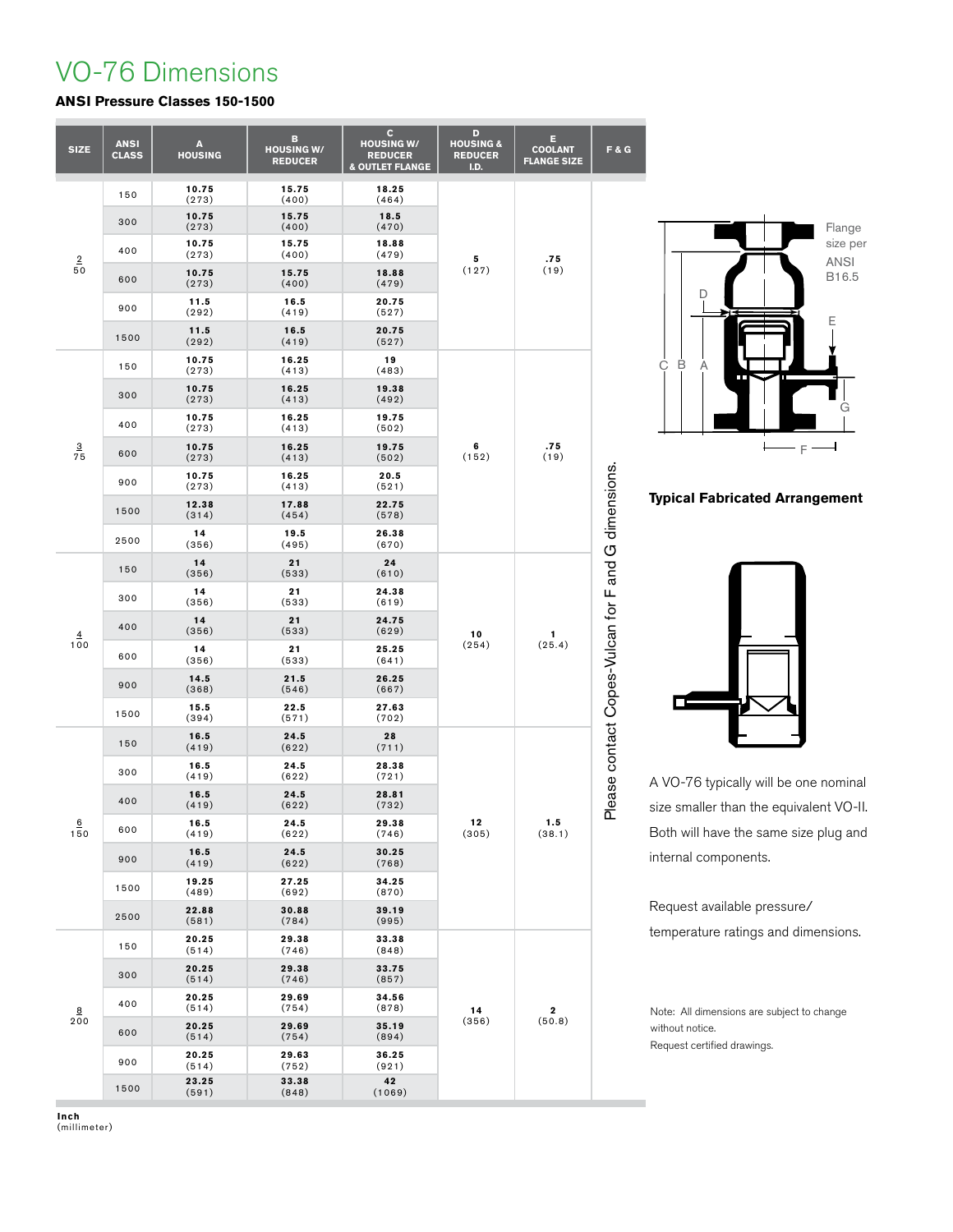## VO-76 Dimensions

## **ANSI Pressure Classes 150-1500**

| <b>SIZE</b>                       | <b>ANSI</b><br><b>CLASS</b> | A<br><b>HOUSING</b> | в<br><b>HOUSING W/</b><br><b>REDUCER</b> | C<br><b>HOUSING W/</b><br><b>REDUCER</b><br>& OUTLET FLANGE | D<br><b>HOUSING &amp;</b><br><b>REDUCER</b><br>I.D. | Ε<br><b>COOLANT</b><br><b>FLANGE SIZE</b> | F & G                                               |
|-----------------------------------|-----------------------------|---------------------|------------------------------------------|-------------------------------------------------------------|-----------------------------------------------------|-------------------------------------------|-----------------------------------------------------|
| $\overline{2}$<br>50              | 150                         | 10.75<br>(273)      | 15.75<br>(400)                           | 18.25<br>(464)                                              |                                                     | .75<br>(19)                               | Please contact Copes-Vulcan for F and G dimensions. |
|                                   | 300                         | 10.75<br>(273)      | 15.75<br>(400)                           | 18.5<br>(470)                                               |                                                     |                                           |                                                     |
|                                   | 400                         | 10.75<br>(273)      | 15.75<br>(400)                           | 18.88<br>(479)                                              | 5                                                   |                                           |                                                     |
|                                   | 600                         | 10.75<br>(273)      | 15.75<br>(400)                           | 18.88<br>(479)                                              | (127)                                               |                                           |                                                     |
|                                   | 900                         | 11.5<br>(292)       | 16.5<br>(419)                            | 20.75<br>(527)                                              |                                                     |                                           |                                                     |
|                                   | 1500                        | 11.5<br>(292)       | 16.5<br>(419)                            | 20.75<br>(527)                                              |                                                     |                                           |                                                     |
| $\overline{3}$<br>$\overline{75}$ | 150                         | 10.75<br>(273)      | 16.25<br>(413)                           | 19<br>(483)                                                 |                                                     | .75<br>(19)                               |                                                     |
|                                   | 300                         | 10.75<br>(273)      | 16.25<br>(413)                           | 19.38<br>(492)                                              |                                                     |                                           |                                                     |
|                                   | 400                         | 10.75<br>(273)      | 16.25<br>(413)                           | 19.75<br>(502)                                              |                                                     |                                           |                                                     |
|                                   | 600                         | 10.75<br>(273)      | 16.25<br>(413)                           | 19.75<br>(502)                                              | 6<br>(152)                                          |                                           |                                                     |
|                                   | 900                         | 10.75<br>(273)      | 16.25<br>(413)                           | 20.5<br>(521)                                               |                                                     |                                           |                                                     |
|                                   | 1500                        | 12.38<br>(314)      | 17.88<br>(454)                           | 22.75<br>(578)                                              |                                                     |                                           |                                                     |
|                                   | 2500                        | 14<br>(356)         | 19.5<br>(495)                            | 26.38<br>(670)                                              |                                                     |                                           |                                                     |
| $\overline{4}$                    | 150                         | 14<br>(356)         | 21<br>(533)                              | 24<br>(610)                                                 |                                                     | 1<br>(25.4)                               |                                                     |
|                                   | 300                         | 14<br>(356)         | 21<br>(533)                              | 24.38<br>(619)                                              |                                                     |                                           |                                                     |
|                                   | 400                         | 14<br>(356)         | 21<br>(533)                              | 24.75<br>(629)                                              | 10                                                  |                                           |                                                     |
| 100                               | 600                         | 14<br>(356)         | 21<br>(533)                              | 25.25<br>(641)                                              | (254)                                               |                                           |                                                     |
|                                   | 900                         | 14.5<br>(368)       | 21.5<br>(546)                            | 26.25<br>(667)                                              |                                                     |                                           |                                                     |
|                                   | 1500                        | 15.5<br>(394)       | 22.5<br>(571)                            | 27.63<br>(702)                                              |                                                     |                                           |                                                     |
|                                   | 150                         | 16.5<br>(419)       | 24.5<br>(622)                            | 28<br>(711)                                                 |                                                     | 1.5<br>(38.1)                             |                                                     |
|                                   | 300                         | 16.5<br>(419)       | 24.5<br>(622)                            | 28.38<br>(721)                                              |                                                     |                                           |                                                     |
|                                   | 400                         | 16.5<br>(419)       | 24.5<br>(622)                            | 28.81<br>(732)                                              |                                                     |                                           |                                                     |
| $\underline{6}$<br>150            | 600                         | 16.5<br>(419)       | 24.5<br>(622)                            | 29.38<br>(746)                                              | 12<br>(305)                                         |                                           |                                                     |
|                                   | 900                         | 16.5<br>(419)       | 24.5<br>(622)                            | 30.25<br>(768)                                              |                                                     |                                           |                                                     |
|                                   | 1500                        | 19.25<br>(489)      | 27.25<br>(692)                           | 34.25<br>(870)                                              |                                                     |                                           |                                                     |
|                                   | 2500                        | 22.88<br>(581)      | 30.88<br>(784)                           | 39.19<br>(995)                                              |                                                     |                                           |                                                     |
| 8<br>200                          | 150                         | 20.25<br>(514)      | 29.38<br>(746)                           | 33.38<br>(848)                                              |                                                     |                                           |                                                     |
|                                   | 300                         | 20.25<br>(514)      | 29.38<br>(746)                           | 33.75<br>(857)                                              |                                                     |                                           |                                                     |
|                                   | 400                         | 20.25<br>(514)      | 29.69<br>(754)                           | 34.56<br>(878)                                              | 14                                                  | 2                                         |                                                     |
|                                   | 600                         | 20.25<br>(514)      | 29.69<br>(754)                           | 35.19<br>(894)                                              | (356)                                               | (50.8)                                    |                                                     |
|                                   | 900                         | 20.25<br>(514)      | 29.63<br>(752)                           | 36.25<br>(921)                                              |                                                     |                                           |                                                     |
|                                   | 1500                        | 23.25<br>(591)      | 33.38<br>(848)                           | 42<br>(1069)                                                |                                                     |                                           |                                                     |



**Typical Fabricated Arrangement**



A VO-76 typically will be one nominal size smaller than the equivalent VO-II. Both will have the same size plug and internal components.

Request available pressure/ temperature ratings and dimensions.

Note: All dimensions are subject to change without notice. Request certified drawings.

**Inch** (millimeter)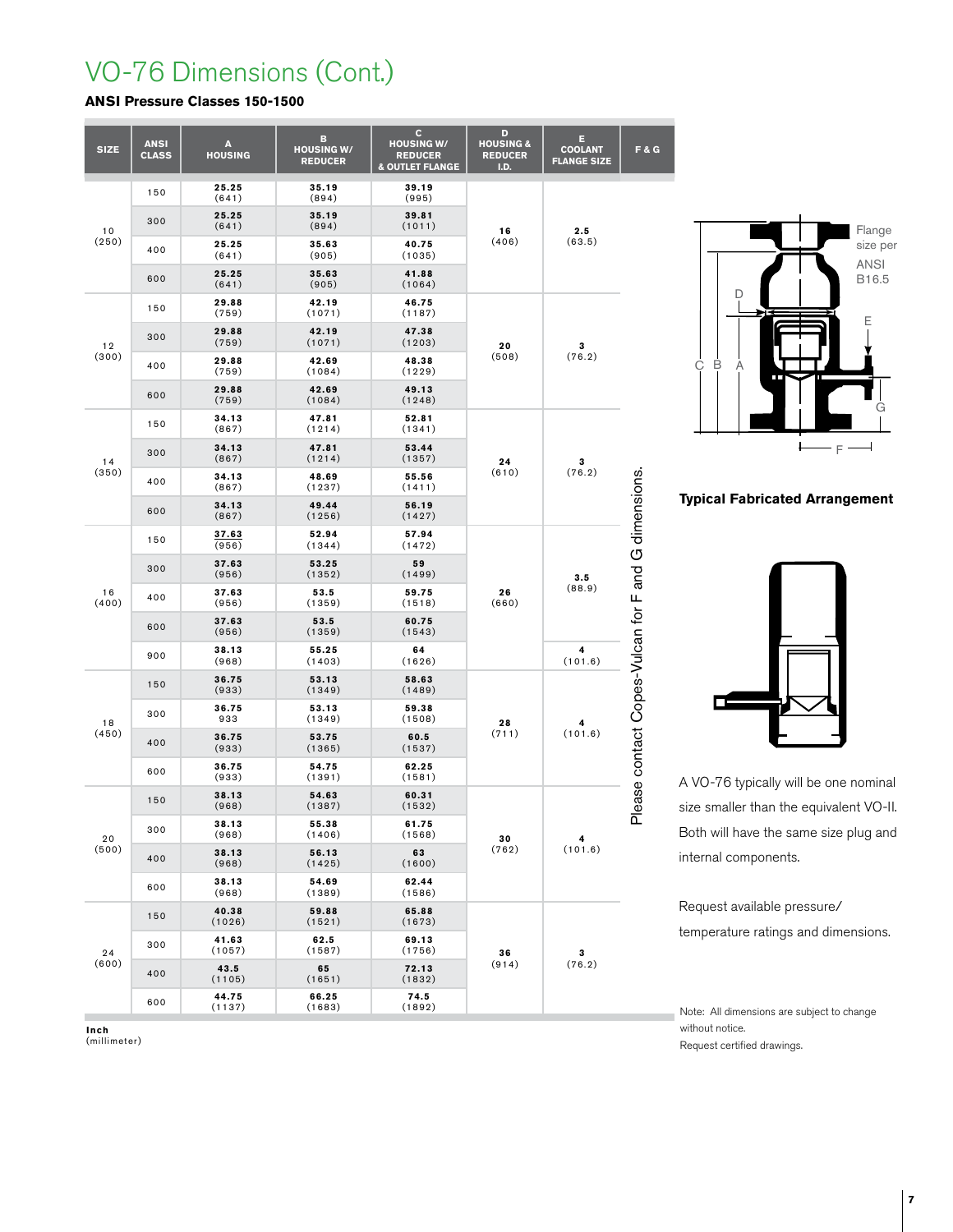## VO-76 Dimensions (Cont.)

## **ANSI Pressure Classes 150-1500**

| <b>SIZE</b> | <b>ANSI</b><br><b>CLASS</b> | A<br><b>HOUSING</b> | B<br><b>HOUSING W/</b><br><b>REDUCER</b> | c<br><b>HOUSING W/</b><br><b>REDUCER</b><br><b>&amp; OUTLET FLANGE</b> | D<br><b>HOUSING &amp;</b><br><b>REDUCER</b><br><b>I.D.</b> | Е<br><b>COOLANT</b><br><b>FLANGE SIZE</b> | F & G                                               |
|-------------|-----------------------------|---------------------|------------------------------------------|------------------------------------------------------------------------|------------------------------------------------------------|-------------------------------------------|-----------------------------------------------------|
| 10<br>(250) | 150                         | 25.25<br>(641)      | 35.19<br>(894)                           | 39.19<br>(995)                                                         |                                                            | 2.5<br>(63.5)                             |                                                     |
|             | 300                         | 25.25<br>(641)      | 35.19<br>(894)                           | 39.81<br>(1011)                                                        | 16                                                         |                                           |                                                     |
|             | 400                         | 25.25<br>(641)      | 35.63<br>(905)                           | 40.75<br>(1035)                                                        | (406)                                                      |                                           |                                                     |
|             | 600                         | 25.25<br>(641)      | 35.63<br>(905)                           | 41.88<br>(1064)                                                        |                                                            |                                           |                                                     |
| 12<br>(300) | 150                         | 29.88<br>(759)      | 42.19<br>(1071)                          | 46.75<br>(1187)                                                        |                                                            |                                           |                                                     |
|             | 300                         | 29.88<br>(759)      | 42.19<br>(1071)                          |                                                                        | 20                                                         | 3                                         |                                                     |
|             | 400                         | 29.88<br>(759)      | 42.69<br>(1084)                          | 48.38<br>(1229)                                                        | (508)                                                      | (76.2)                                    | Please contact Copes-Vulcan for F and G dimensions. |
|             | 600                         | 29.88<br>(759)      | 42.69<br>(1084)                          | 49.13<br>(1248)                                                        |                                                            |                                           |                                                     |
| 14<br>(350) | 150                         | 34.13<br>(867)      | 47.81<br>(1214)                          | 52.81<br>(1341)                                                        |                                                            |                                           |                                                     |
|             | 300                         | 34.13<br>(867)      | 47.81<br>(1214)                          | 53.44<br>(1357)                                                        | 24                                                         | 3<br>(76.2)                               |                                                     |
|             | 400                         | 34.13<br>(867)      | 48.69<br>(1237)                          | 55.56<br>(1411)                                                        | (610)                                                      |                                           |                                                     |
|             | 600                         | 34.13<br>(867)      | 49.44<br>(1256)                          | 56.19<br>(1427)                                                        |                                                            |                                           |                                                     |
| 16<br>(400) | 150                         | 37.63<br>(956)      | 52.94<br>(1344)                          | 57.94<br>(1472)                                                        |                                                            | 3.5<br>(88.9)                             |                                                     |
|             | 300                         | 37.63<br>(956)      | 53.25<br>(1352)                          | 59<br>(1499)                                                           |                                                            |                                           |                                                     |
|             | 400                         | 37.63<br>(956)      | 53.5<br>(1359)                           | 59.75<br>(1518)                                                        | 26<br>(660)                                                |                                           |                                                     |
|             | 600                         | 37.63<br>(956)      | 53.5<br>(1359)                           | 60.75<br>(1543)                                                        |                                                            |                                           |                                                     |
|             | 900                         | 38.13<br>(968)      | 55.25<br>(1403)                          | 64<br>(1626)                                                           |                                                            | 4<br>(101.6)                              |                                                     |
|             | 150                         | 36.75<br>(933)      | 53.13<br>(1349)                          | 58.63<br>(1489)                                                        |                                                            | 4<br>(101.6)                              |                                                     |
| 18          | 300                         | 36.75<br>933        | 53.13<br>(1349)                          | 59.38<br>(1508)                                                        | 28                                                         |                                           |                                                     |
| (450)       | 400                         | 36.75<br>(933)      | 53.75<br>(1365)                          | 60.5<br>(1537)                                                         | (711)                                                      |                                           |                                                     |
|             | 600                         | 36.75<br>(933)      | 54.75<br>(1391)                          | 62.25<br>(1581)                                                        |                                                            |                                           |                                                     |
| 20<br>(500) | 150                         | 38.13<br>(968)      | 54.63<br>(1387)                          | 60.31<br>(1532)                                                        |                                                            | 4<br>(101.6)                              |                                                     |
|             | 300                         | 38.13<br>(968)      | 55.38<br>(1406)                          | 61.75<br>(1568)                                                        | 30                                                         |                                           |                                                     |
|             | 400                         | 38.13<br>(968)      | 56.13<br>(1425)                          | 63<br>(1600)                                                           | (762)                                                      |                                           |                                                     |
|             | 600                         | 38.13<br>(968)      | 54.69<br>(1389)                          | 62.44<br>(1586)                                                        |                                                            |                                           |                                                     |
| 24<br>(600) | 150                         | 40.38<br>(1026)     | 59.88<br>(1521)                          | 65.88<br>(1673)                                                        |                                                            |                                           |                                                     |
|             | 300                         | 41.63<br>(1057)     | 62.5<br>(1587)                           | 69.13<br>(1756)                                                        | 36                                                         | 3                                         |                                                     |
|             | 400                         | 43.5<br>(1105)      | 65<br>(1651)                             | 72.13<br>(1832)                                                        | (914)                                                      | (76.2)                                    |                                                     |
|             | 600                         | 44.75<br>(1137)     | 66.25<br>(1683)                          | 74.5<br>(1892)                                                         |                                                            |                                           |                                                     |



**Typical Fabricated Arrangement**



A VO-76 typically will be one nominal size smaller than the equivalent VO-II. Both will have the same size plug and internal components.

Request available pressure/ temperature ratings and dimensions.

Note: All dimensions are subject to change without notice. Request certified drawings.

**Inch** (millimeter)

**7**